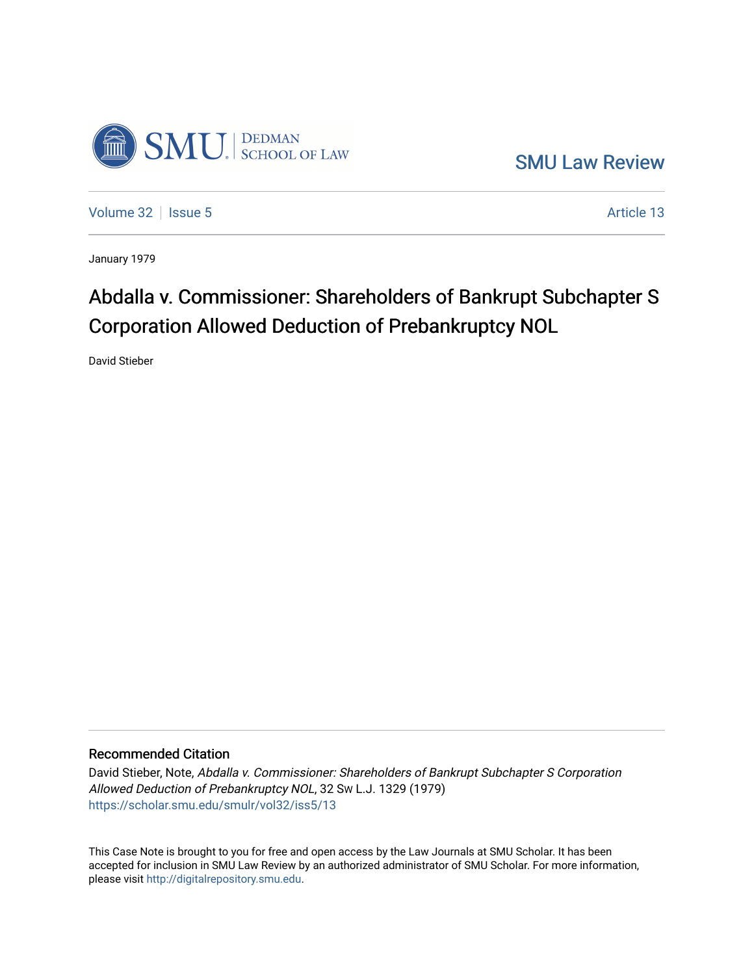

[SMU Law Review](https://scholar.smu.edu/smulr) 

[Volume 32](https://scholar.smu.edu/smulr/vol32) | [Issue 5](https://scholar.smu.edu/smulr/vol32/iss5) Article 13

January 1979

# Abdalla v. Commissioner: Shareholders of Bankrupt Subchapter S Corporation Allowed Deduction of Prebankruptcy NOL

David Stieber

## Recommended Citation

David Stieber, Note, Abdalla v. Commissioner: Shareholders of Bankrupt Subchapter S Corporation Allowed Deduction of Prebankruptcy NOL, 32 SW L.J. 1329 (1979) [https://scholar.smu.edu/smulr/vol32/iss5/13](https://scholar.smu.edu/smulr/vol32/iss5/13?utm_source=scholar.smu.edu%2Fsmulr%2Fvol32%2Fiss5%2F13&utm_medium=PDF&utm_campaign=PDFCoverPages)

This Case Note is brought to you for free and open access by the Law Journals at SMU Scholar. It has been accepted for inclusion in SMU Law Review by an authorized administrator of SMU Scholar. For more information, please visit [http://digitalrepository.smu.edu.](http://digitalrepository.smu.edu/)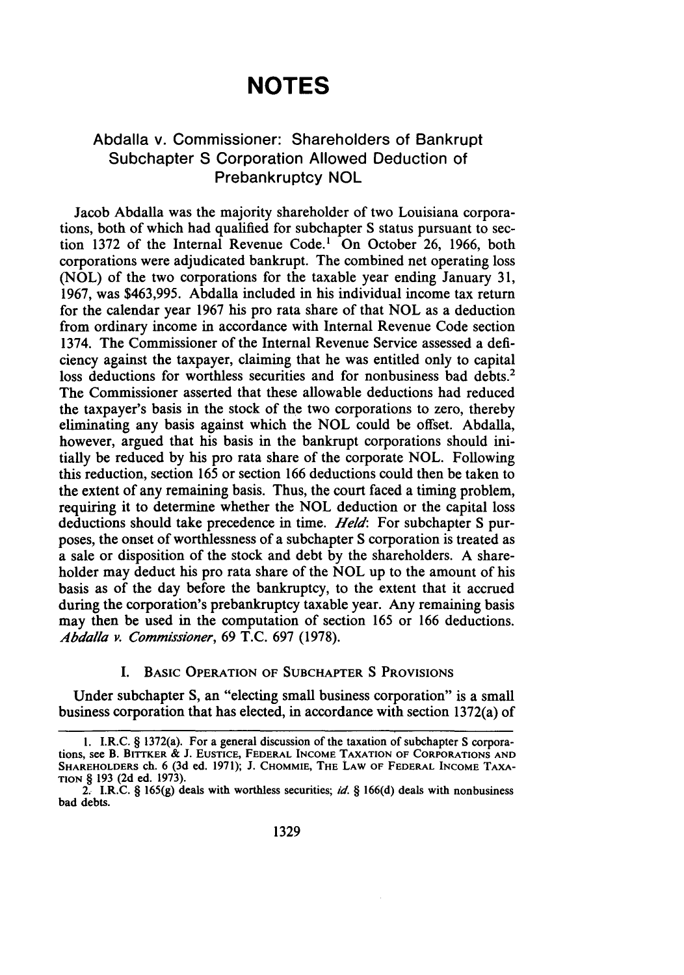## **NOTES**

## Abdalla v. Commissioner: Shareholders of Bankrupt Subchapter **S** Corporation Allowed Deduction of Prebankruptcy **NOL**

Jacob Abdalla was the majority shareholder of two Louisiana corporations, both of which had qualified for subchapter S status pursuant to section 1372 of the Internal Revenue Code.' On October 26, 1966, both corporations were adjudicated bankrupt. The combined net operating loss (NOL) of the two corporations for the taxable year ending January 31, 1967, was \$463,995. Abdalla included in his individual income tax return for the calendar year 1967 his pro rata share of that NOL as a deduction from ordinary income in accordance with Internal Revenue Code section 1374. The Commissioner of the Internal Revenue Service assessed a deficiency against the taxpayer, claiming that he was entitled only to capital loss deductions for worthless securities and for nonbusiness bad debts.<sup>2</sup> The Commissioner asserted that these allowable deductions had reduced the taxpayer's basis in the stock of the two corporations to zero, thereby eliminating any basis against which the NOL could be offset. Abdalla, however, argued that his basis in the bankrupt corporations should initially be reduced by his pro rata share of the corporate NOL. Following this reduction, section 165 or section 166 deductions could then be taken to the extent of any remaining basis. Thus, the court faced a timing problem, requiring it to determine whether the NOL deduction or the capital loss deductions should take precedence in time. *Held:* For subchapter S purposes, the onset of worthlessness of a subchapter S corporation is treated as a sale or disposition of the stock and debt by the shareholders. A shareholder may deduct his pro rata share of the NOL up to the amount of his basis as of the day before the bankruptcy, to the extent that it accrued during the corporation's prebankruptcy taxable year. Any remaining basis may then be used in the computation of section 165 or 166 deductions. *Abdalla v. Commissioner,* 69 T.C. 697 (1978).

#### I. BASIC OPERATION OF SUBCHAPTER S PROVISIONS

Under subchapter **S,** an "electing small business corporation" is a small business corporation that has elected, in accordance with section 1372(a) of

I. I.R.C. § 1372(a). For a general discussion of the taxation of subchapter S corporations, see B. BITTKER & J. **EUSTICE,** FEDERAL INCOME **TAXATION** OF CORPORATIONS **AND** SHAREHOLDERS ch. 6 (3d ed. 1971); J. CHOMMIE, THE LAW OF **FEDERAL INCOME** TAXA-**TION** § 193 (2d ed. 1973).

<sup>2.</sup> I.R.C. § 165(g) deals with worthless securities; *id. §* 166(d) deals with nonbusiness bad debts.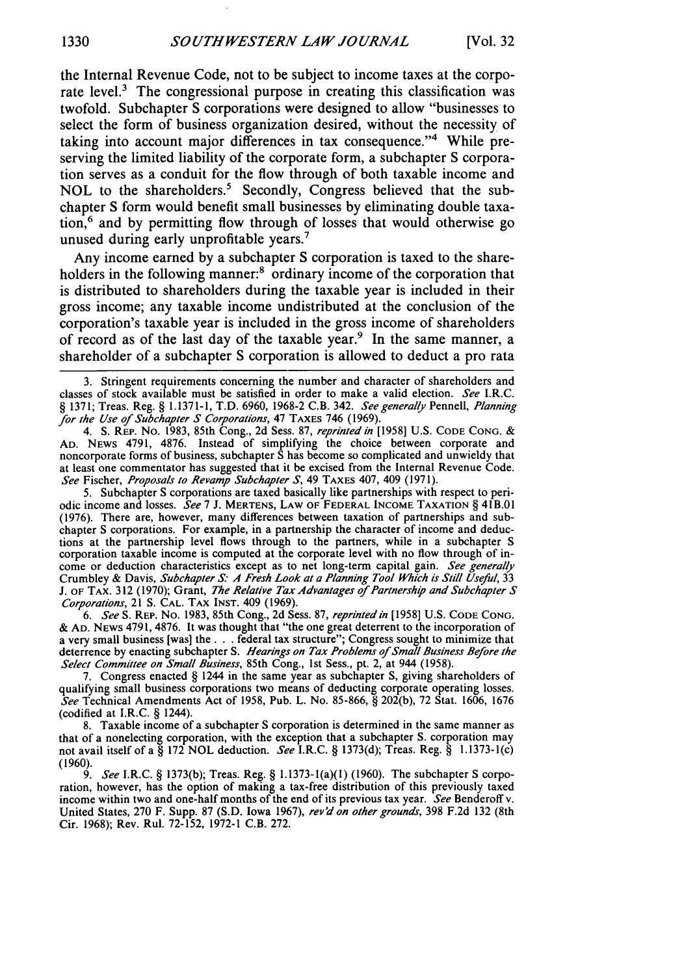the Internal Revenue Code, not to be subject to income taxes at the corporate level.<sup>3</sup> The congressional purpose in creating this classification was twofold. Subchapter S corporations were designed to allow "businesses to select the form of business organization desired, without the necessity of taking into account major differences in tax consequence."<sup>4</sup> While preserving the limited liability of the corporate form, a subchapter S corporation serves as a conduit for the flow through of both taxable income and NOL to the shareholders.' Secondly, Congress believed that the subchapter S form would benefit small businesses by eliminating double taxation,6 and by permitting flow through of losses that would otherwise go unused during early unprofitable years.7

Any income earned by a subchapter S corporation is taxed to the shareholders in the following manner:<sup>8</sup> ordinary income of the corporation that is distributed to shareholders during the taxable year is included in their gross income; any taxable income undistributed at the conclusion of the corporation's taxable year is included in the gross income of shareholders of record as of the last day of the taxable year.<sup>9</sup> In the same manner, a shareholder of a subchapter S corporation is allowed to deduct a pro rata

4. S. REP. No. 1983, 85th Cong., 2d Sess. 87, *reprinted* in [1958] U.S. **CODE CONG.** & **AD.** NEWS 4791, 4876. Instead of simplifying the choice between corporate and noncorporate forms of business, subchapter S has become so complicated and unwieldy that at least one commentator has suggested that it be excised from the Internal Revenue Code. *See* Fischer, *Proposals to Revamp Subchapter* **S,** 49 TAXES 407, 409 (1971).

5. Subchapter S corporations are taxed basically like partnerships with respect to periodic income and losses. *See* 7 J. MERTENS, **LAW OF** FEDERAL **INCOME TAXATION** § 41B.01 (1976). There are, however, many differences between taxation of partnerships and subchapter S corporations. For example, in a partnership the character of income and deductions at the partnership level flows through to the partners, while in a subchapter S corporation taxable income is computed at the corporate level with no flow through of income or deduction characteristics except as to net long-term capital gain. *See generally* Crumbley & Davis, *Subchapter* **S.** *A Fresh Look at a Planning Tool Which is Still Useful,* 33 J. OF TAX. 312 (1970); Grant, *The Relative Tax Advantages of Partnership and Subchapter S* Corporations, 21 **S. CAL.** TAX **INST.** 409 (1969).

*6. See* S. REP. No. 1983, 85th Cong., 2d Sess. 87, *reprinted in* [1958] U.S. **CODE CONG.** & **AD.** NEWS 4791, 4876. It was thought that "the one great deterrent to the incorporation of a very small business [was] the. **. .** federal tax structure"; Congress sought to minimize that deterrence by enacting subchapter S. *Hearings on Tax Problems of Small Business Before the Select Committee on Small Business,* 85th Cong., 1st Sess., pt. 2, at 944 (1958).

7. Congress enacted § 1244 in the same year as subchapter **S,** giving shareholders of qualifying small business corporations two means of deducting corporate operating losses. *See* Technical Amendments Act of 1958, Pub. L. No. 85-866, § 202(b), 72 Stat. 1606, 1676 (codified at I.R.C. § 1244).

8. Taxable income of a subchapter S corporation is determined in the same manner as that of a nonelecting corporation, with the exception that a subchapter S. corporation may not avail itself of a § 172 NOL deduction. *See* I.R.C. § 1373(d); Treas. Reg. § 1.1373-1(c) (1960).

*9. See* I.R.C. § 1373(b); Treas. Reg. § 1.1373-1(a)(1) (1960). The subchapter S corporation, however, has the option of making a tax-free distribution of this previously taxed income within two and one-half months of the end of its previous tax year. *See* Benderoff v. United States, 270 F. Supp. 87 (S.D. Iowa 1967), rev'd on other grounds, 398 F.2d 132 (8th Cir. 1968); Rev. Rul. 72-152, 1972-1 C.B. 272.

<sup>3.</sup> Stringent requirements concerning the number and character of shareholders and classes of stock available must be satisfied in order to make a valid election. See I.R.C. § 1371; Treas. Reg. § **1.1371-1,** T.D. 6960, 1968-2 C.B. 342. See generally Pennell, Planning *for the Use of* Subchapter S *Corporations,* 47 TAXES 746 (1969).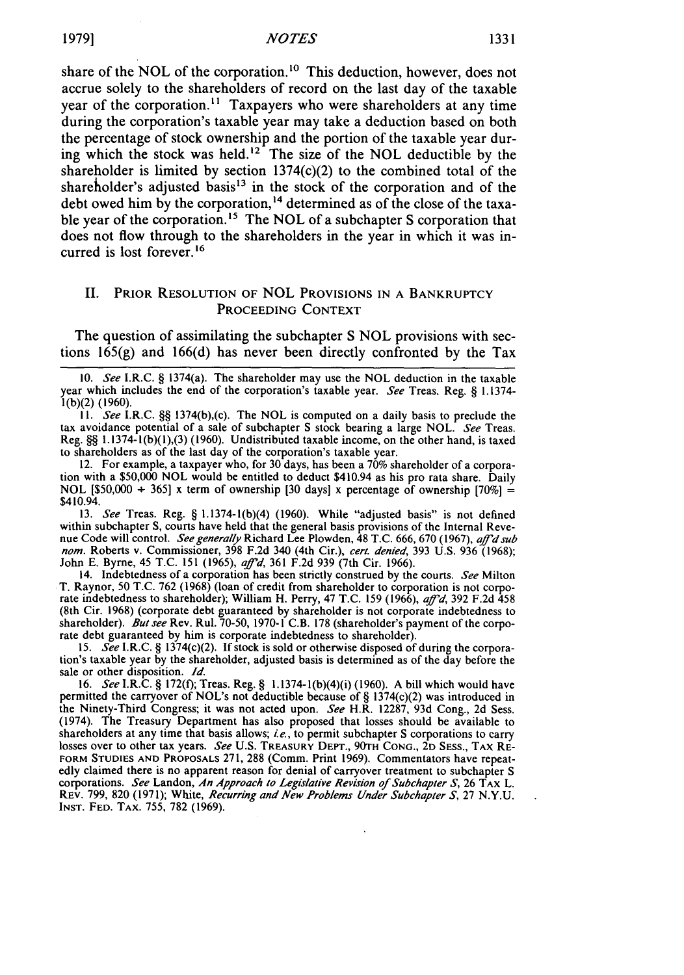share of the NOL of the corporation.<sup>10</sup> This deduction, however, does not accrue solely to the shareholders of record on the last day of the taxable year of the corporation.<sup>11</sup> Taxpayers who were shareholders at any time during the corporation's taxable year may take a deduction based on both the percentage of stock ownership and the portion of the taxable year during which the stock was held.<sup>12</sup> The size of the NOL deductible by the shareholder is limited by section 1374(c)(2) to the combined total of the shareholder's adjusted basis<sup>13</sup> in the stock of the corporation and of the debt owed him by the corporation,<sup>14</sup> determined as of the close of the taxable year of the corporation.<sup>15</sup> The NOL of a subchapter S corporation that does not flow through to the shareholders in the year in which it was incurred is lost forever.<sup>16</sup>

### II. PRIOR **RESOLUTION** OF NOL PROVISIONS IN **A** BANKRUPTCY PROCEEDING **CONTEXT**

The question of assimilating the subchapter S NOL provisions with sections 165(g) and 166(d) has never been directly confronted by the Tax

*10.* See I.R.C. § 1374(a). The shareholder may use the NOL deduction in the taxable year which includes the end of the corporation's taxable year. See Treas. Reg. § 1.1374l(b)(2) (1960).

 $11.$  See I.R.C. §§ 1374(b),(c). The NOL is computed on a daily basis to preclude the tax avoidance potential of a sale of subchapter S stock bearing a large NOL. See Treas. Reg. §§ 1.1374-1(b)(1),(3) (1960). Undistributed taxable income, on the other hand, is taxed to shareholders as of the last day of the corporation's taxable year.

12. For example, a taxpayer who, for 30 days, has been a 70% shareholder of a corporation with a \$50,000 NOL would be entitled to deduct \$410.94 as his pro rata share. Daily NOL [\$50,000 + 365] x term of ownership [30 days] x percentage of ownership  $[70\%] =$ \$410.94.

13. See Treas. Reg. § 1.1374-1(b)(4) (1960). While "adjusted basis" is not defined within subchapter **S,** courts have held that the general basis provisions of the Internal Revenue Code will control. See generally Richard Lee Plowden, 48 T.C. 666, 670 (1967), aff'd sub *nora.* Roberts v. Commissioner, 398 F.2d 340 (4th Cir.), cert. denied, 393 U.S. 936 (1968); John E. Byrne, 45 T.C. 151 (1965), *af#'d,* 361 F.2d 939 (7th Cir. 1966).

14. Indebtedness of a corporation has been strictly construed by the courts. See Milton T. Raynor, 50 T.C. 762 (1968) (loan of credit from shareholder to corporation is not corporate indebtedness to shareholder); William H. Perry, 47 T.C. 159 (1966), aff'd, 392 F.2d 458 (8th Cir. 1968) (corporate debt guaranteed by shareholder is not corporate indebtedness to shareholder). But see Rev. Rul. 70-50, 1970-1 C.B. 178 (shareholder's payment of the corporate debt guaranteed by him is corporate indebtedness to shareholder).

15. See I.R.C. § 1374(c)(2). If stock is sold or otherwise disposed of during the corporation's taxable year by the shareholder, adjusted basis is determined as of the day before the sale or other disposition. *1d.*

16. See I.R.C. § 172(f); Treas. Reg. § 1.1374-1(b)(4)(i) (1960). A bill which would have permitted the carryover of NOL's not deductible because of § 1374(c)(2) was introduced in the Ninety-Third Congress; it was not acted upon. See H.R. 12287, 93d Cong., 2d Sess. (1974). The Treasury Department has also proposed that losses should be available to shareholders at any time that basis allows; *i.e.*, to permit subchapter S corporations to carry losses over to other tax years. See U.S. TREASURY DEPT., 90TH **CONG.,** 2D SESS., TAX RE-**FORM STUDIES AND** PROPOSALS 271, 288 (Comm. Print 1969). Commentators have repeatedly claimed there is no apparent reason for denial of carryover treatment to subchapter S corporations. See Landon, An *Approach to* Legislative Revision *of* Subchapter *S,* 26 TAX L. REV. 799, 820 (1971); White, *Recurring and New Problems Under Subchapter S,* 27 N.Y.U. INST. **FED.** TAX. 755, 782 (1969).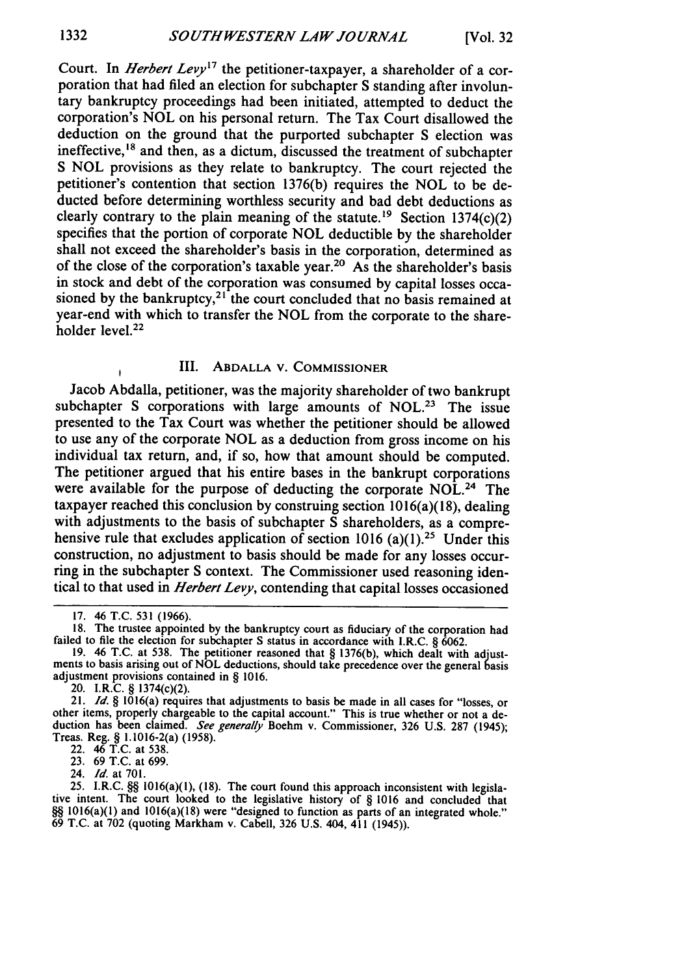Court. In *Herbert Levy*<sup>17</sup> the petitioner-taxpayer, a shareholder of a corporation that had filed an election for subchapter S standing after involuntary bankruptcy proceedings had been initiated, attempted to deduct the corporation's NOL on his personal return. The Tax Court disallowed the deduction on the ground that the purported subchapter S election was ineffective,<sup>18</sup> and then, as a dictum, discussed the treatment of subchapter S NOL provisions as they relate to bankruptcy. The court rejected the petitioner's contention that section 1376(b) requires the NOL to be deducted before determining worthless security and bad debt deductions as clearly contrary to the plain meaning of the statute.<sup>19</sup> Section 1374(c)(2) specifies that the portion of corporate NOL deductible by the shareholder shall not exceed the shareholder's basis in the corporation, determined as of the close of the corporation's taxable year.<sup>20</sup> As the shareholder's basis in stock and debt of the corporation was consumed by capital losses occasioned by the bankruptcy, $21$  the court concluded that no basis remained at year-end with which to transfer the NOL from the corporate to the shareholder level.<sup>22</sup>

#### **III.** ABDALLA V. COMMISSIONER

Jacob Abdalla, petitioner, was the majority shareholder of two bankrupt subchapter S corporations with large amounts of NOL.<sup>23</sup> The issue presented to the Tax Court was whether the petitioner should be allowed to use any of the corporate NOL as a deduction from gross income on his individual tax return, and, if so, how that amount should be computed. The petitioner argued that his entire bases in the bankrupt corporations were available for the purpose of deducting the corporate NOL.<sup>24</sup> The taxpayer reached this conclusion **by** construing section 1016(a)(18), dealing with adjustments to the basis of subchapter S shareholders, as a comprehensive rule that excludes application of section 1016 (a)(1).<sup>25</sup> Under this construction, no adjustment to basis should be made for any losses occurring in the subchapter S context. The Commissioner used reasoning identical to that used in *Herbert Levy,* contending that capital losses occasioned

22. 46 T.C. at 538.

23. 69 T.C. at 699.

24. *Id.* at 701.

25. I.R.C. §§ 1016(a)(1), (18). The court found this approach inconsistent with legisla-<br>tive intent. The court looked to the legislative history of § 1016 and concluded that tive intent. The court looked to the legislative history of  $\S$  1016 and concluded that  $\S\S$  1016(a)(1) and 1016(a)(18) were "designed to function as parts of an integrated whole." 69 T.C. at 702 (quoting Markham v. Cabell, 326 U.S. 404, 411 (1945)).

**<sup>17.</sup>** 46 T.C. 531 (1966).

<sup>18.</sup> The trustee appointed **by** the bankruptcy court as fiduciary of the corporation had failed to file the election for subchapter **S** status in accordance with I.R.C. § 6062.

<sup>19. 46</sup> T.C. at 538. The petitioner reasoned that § 1376(b), which dealt with adjustments to basis arising out of NOL deductions, should take precedence over the general basis adjustment provisions contained in § 1016.

<sup>20.</sup> I.R.C.  $\S$  1374(c)(2).<br>21. Id.  $\S$  1016(a) requires that adjustments to basis be made in all cases for "losses, or 21. *Id. §* 1016(a) requires that adjustments to basis be made in all cases for "losses, or other items, properly chargeable to the capital account." This is true whether or not a deduction has been claimed. *See generally* Boehm v. Commissioner, 326 U.S. 287 (1945); Treas. Reg. § 1.1016-2(a) (1958).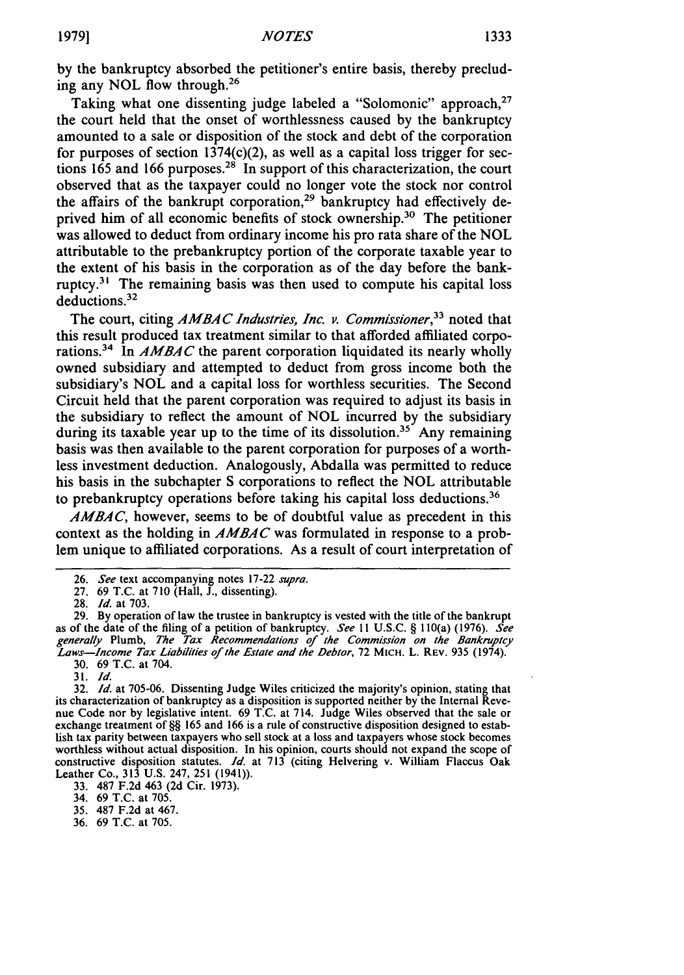by the bankruptcy absorbed the petitioner's entire basis, thereby precluding any NOL flow through.<sup>26</sup>

Taking what one dissenting judge labeled a "Solomonic" approach,<sup>27</sup> the court held that the onset of worthlessness caused by the bankruptcy amounted to a sale or disposition of the stock and debt of the corporation for purposes of section  $1374(c)(2)$ , as well as a capital loss trigger for sections 165 and 166 purposes.<sup>28</sup> In support of this characterization, the court observed that as the taxpayer could no longer vote the stock nor control the affairs of the bankrupt corporation,<sup>29</sup> bankruptcy had effectively deprived him of all economic benefits of stock ownership.<sup>30</sup> The petitioner was allowed to deduct from ordinary income his pro rata share of the NOL attributable to the prebankruptcy portion of the corporate taxable year to the extent of his basis in the corporation as of the day before the bankruptcy. $31$  The remaining basis was then used to compute his capital loss deductions.<sup>32</sup>

The court, citing *AMBAC Industries, Inc. v. Commissioner*,<sup>33</sup> noted that this result produced tax treatment similar to that afforded affiliated corporations.34 In *AMBAC* the parent corporation liquidated its nearly wholly owned subsidiary and attempted to deduct from gross income both the subsidiary's NOL and a capital loss for worthless securities. The Second Circuit held that the parent corporation was required to adjust its basis in the subsidiary to reflect the amount of NOL incurred by the subsidiary during its taxable year up to the time of its dissolution.<sup>35</sup> Any remaining basis was then available to the parent corporation for purposes of a worthless investment deduction. Analogously, Abdalla was permitted to reduce his basis in the subchapter S corporations to reflect the NOL attributable to prebankruptcy operations before taking his capital loss deductions.<sup>36</sup>

*AMBAC,* however, seems to be of doubtful value as precedent in this context as the holding in **AMBAC** was formulated in response to a problem unique to affiliated corporations. As a result of court interpretation of

29. By operation of law the trustee in bankruptcy is vested with the title of the bankrupt as of the date of the filing of a petition of bankruptcy. *See II* U.S.C. § 110(a) (1976). *See generally* Plumb, *The Tax Recommendations of the Commission on the* Bankruptcy *Laws-Income Tax Liabilities of the Estate and the Debtor,* 72 MIcH-. L. REV. 935 (1974). 30. 69 T.C. at 704.

33. 487 F.2d 463 (2d Cir. 1973).

34. 69 T.C. at 705.

35. 487 F.2d at 467.

<sup>26.</sup> *See* text accompanying notes 17-22 *supra.*

<sup>27. 69</sup> T.C. at 710 (Hall, J., dissenting). 28. *Id.* at 703.

<sup>31.</sup> *Id.*

<sup>32.</sup> *Id.* at 705-06. Dissenting Judge Wiles criticized the majority's opinion, stating that its characterization of bankruptcy as a disposition is supported neither by the Internal Revenue Code nor by legislative intent. 69 T.C. at 714. Judge Wiles observed that the sale or exchange treatment of §§ 165 and 166 is a rule of constructive disposition designed to establish tax parity between taxpayers who sell stock at a loss and taxpayers whose stock becomes worthless without actual disposition. In his opinion, courts should not expand the scope of constructive disposition statutes. *Id.* at 713 (citing Helvering v. William Flaccus Oak Leather Co., 313 U.S. 247, 251 (1941))

<sup>36. 69</sup> T.C. at 705.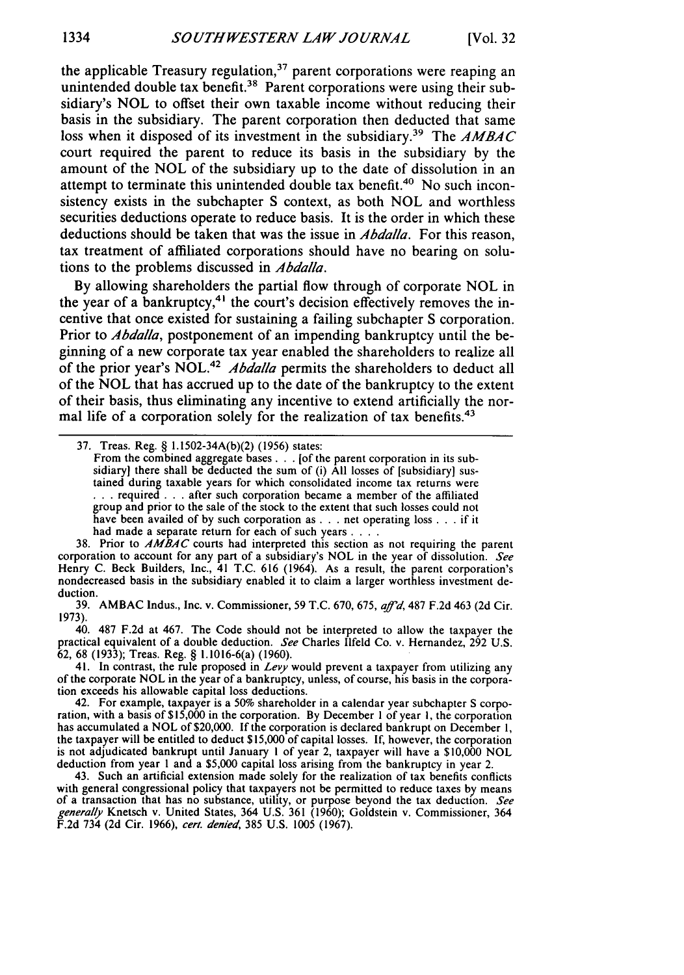the applicable Treasury regulation,<sup>37</sup> parent corporations were reaping an unintended double tax benefit.<sup>38</sup> Parent corporations were using their subsidiary's NOL to offset their own taxable income without reducing their basis in the subsidiary. The parent corporation then deducted that same loss when it disposed of its investment in the subsidiary.<sup>39</sup> The AMBAC court required the parent to reduce its basis in the subsidiary by the amount of the NOL of the subsidiary up to the date of dissolution in an attempt to terminate this unintended double tax benefit.<sup>40</sup> No such inconsistency exists in the subchapter S context, as both NOL and worthless securities deductions operate to reduce basis. It is the order in which these deductions should be taken that was the issue in *Abdalla.* For this reason, tax treatment of affiliated corporations should have no bearing on solutions to the problems discussed in *Abdalla.*

By allowing shareholders the partial flow through of corporate NOL in the year of a bankruptcy,<sup>41</sup> the court's decision effectively removes the incentive that once existed for sustaining a failing subchapter S corporation. Prior to *Abdalla,* postponement of an impending bankruptcy until the beginning of a new corporate tax year enabled the shareholders to realize all of the prior year's NOL.<sup>42</sup> *Abdalla* permits the shareholders to deduct all of the NOL that has accrued up to the date of the bankruptcy to the extent of their basis, thus eliminating any incentive to extend artificially the normal life of a corporation solely for the realization of tax benefits.<sup>43</sup>

38. Prior to *AMBAC* courts had interpreted this section as not requiring the parent corporation to account for any part of a subsidiary's NOL in the year of dissolution. *See* Henry C. Beck Builders, Inc., 41 T.C. 616 (1964). As a result, the parent corporation's nondecreased basis in the subsidiary enabled it to claim a larger worthless investment deduction.

39. AMBAC Indus., Inc. v. Commissioner, 59 T.C. 670, 675, *affid,* 487 F.2d 463 (2d Cir. 1973).

40. 487 F.2d at 467. The Code should not be interpreted to allow the taxpayer the practical equivalent of a double deduction. *See* Charles Ilfeld Co. v. Hernandez, 292 U.S. **62,** 68 (1933); Treas. Reg. § 1.1016-6(a) (1960).

41. In contrast, the rule proposed in *Levy* would prevent a taxpayer from utilizing any of the corporate NOL in the year of a bankruptcy, unless, of course, his basis in the corporation exceeds his allowable capital loss deductions.

42. For example, taxpayer is a 50% shareholder in a calendar year subchapter S corporation, with a basis of \$15,000 in the corporation. By December 1 of year 1, the corporation has accumulated a NOL of \$20,000. If the corporation is declared bankrupt on December 1, the taxpayer will be entitled to deduct \$15,000 of capital losses. If, however, the corporation is not adjudicated bankrupt until January I of year 2, taxpayer will have a \$10,000 NOL deduction from year **I** and a \$5,000 capital loss arising from the bankruptcy in year 2.

43. Such an artificial extension made solely for the realization of tax benefits conflicts with general congressional policy that taxpayers not be permitted to reduce taxes by means of a transaction that has no substance, utility, or purpose beyond the tax deduction. *See* generally Knetsch v. United States, 364 U.S. 361 (1960); Goldstein v. Commissioner, 364 F.2d 734 (2d Cir. 1966), *cert. denied*, 385 U.S. 1005 (1967)

<sup>37.</sup> Treas. Reg. § 1.1502-34A(b)(2) (1956) states:

From the combined aggregate bases . . . [of the parent corporation in its subsidiary] there shall be deducted the sum of (i) All losses of [subsidiary] sustained during taxable years for which consolidated income tax returns were **.. .** required **. . .** after such corporation became a member of the affiliated group and prior to the sale of the stock to the extent that such losses could not have been availed of by such corporation as **. .** . net operating loss **. . .** if it had made a separate return for each of such years . . . .